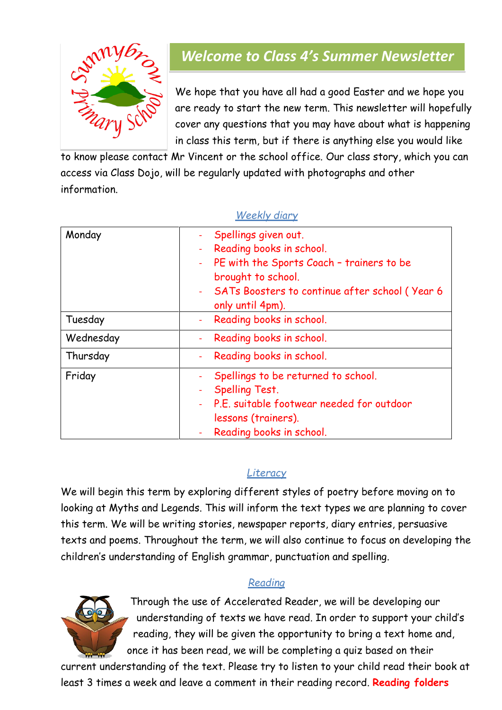

# *Welcome to Class 4's Summer Newsletter*

We hope that you have all had a good Easter and we hope you are ready to start the new term. This newsletter will hopefully cover any questions that you may have about what is happening in class this term, but if there is anything else you would like

to know please contact Mr Vincent or the school office. Our class story, which you can access via Class Dojo, will be regularly updated with photographs and other information.

| Monday    | Spellings given out.<br>Reading books in school.<br>$\blacksquare$<br>PE with the Sports Coach - trainers to be<br>$\pm$<br>brought to school.<br>- SATs Boosters to continue after school (Year 6 |
|-----------|----------------------------------------------------------------------------------------------------------------------------------------------------------------------------------------------------|
|           | only until 4pm).                                                                                                                                                                                   |
| Tuesday   | Reading books in school.<br>$\omega_{\rm c}$                                                                                                                                                       |
| Wednesday | Reading books in school.<br>$\rightarrow$                                                                                                                                                          |
| Thursday  | Reading books in school.<br>$\frac{1}{2}$                                                                                                                                                          |
| Friday    | Spellings to be returned to school.                                                                                                                                                                |
|           | <b>Spelling Test.</b>                                                                                                                                                                              |
|           | - P.E. suitable footwear needed for outdoor                                                                                                                                                        |
|           | lessons (trainers).                                                                                                                                                                                |
|           | Reading books in school.<br>$\omega$                                                                                                                                                               |

#### *Weekly diary*

# *Literacy*

We will begin this term by exploring different styles of poetry before moving on to looking at Myths and Legends. This will inform the text types we are planning to cover this term. We will be writing stories, newspaper reports, diary entries, persuasive texts and poems. Throughout the term, we will also continue to focus on developing the children's understanding of English grammar, punctuation and spelling.

#### *Reading*



Through the use of Accelerated Reader, we will be developing our understanding of texts we have read. In order to support your child's reading, they will be given the opportunity to bring a text home and, once it has been read, we will be completing a quiz based on their

current understanding of the text. Please try to listen to your child read their book at least 3 times a week and leave a comment in their reading record. **Reading folders**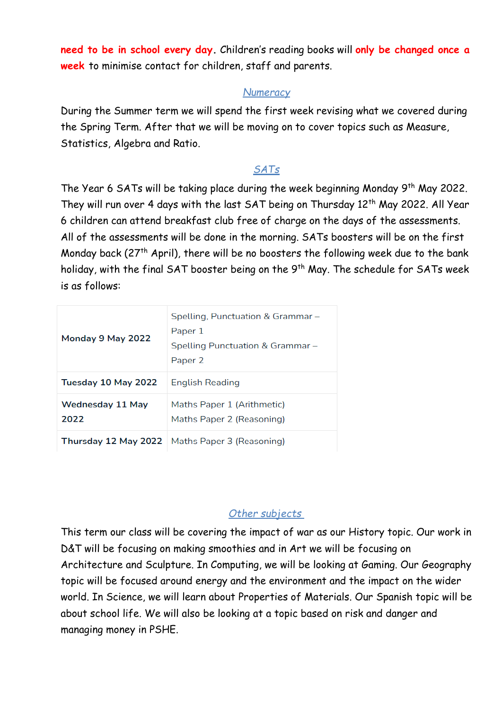**need to be in school every day.** Children's reading books will **only be changed once a week** to minimise contact for children, staff and parents.

#### *Numeracy*

During the Summer term we will spend the first week revising what we covered during the Spring Term. After that we will be moving on to cover topics such as Measure, Statistics, Algebra and Ratio.

### *SATs*

The Year 6 SATs will be taking place during the week beginning Monday 9<sup>th</sup> May 2022. They will run over 4 days with the last SAT being on Thursday 12<sup>th</sup> May 2022. All Year 6 children can attend breakfast club free of charge on the days of the assessments. All of the assessments will be done in the morning. SATs boosters will be on the first Monday back ( $27<sup>th</sup>$  April), there will be no boosters the following week due to the bank holiday, with the final SAT booster being on the  $9<sup>th</sup>$  May. The schedule for SATs week is as follows:

| Monday 9 May 2022               | Spelling, Punctuation & Grammar -<br>Paper 1<br>Spelling Punctuation & Grammar –<br>Paper <sub>2</sub> |
|---------------------------------|--------------------------------------------------------------------------------------------------------|
| Tuesday 10 May 2022             | English Reading                                                                                        |
| <b>Wednesday 11 May</b><br>2022 | Maths Paper 1 (Arithmetic)<br>Maths Paper 2 (Reasoning)                                                |
| Thursday 12 May 2022            | Maths Paper 3 (Reasoning)                                                                              |

#### *Other subjects*

This term our class will be covering the impact of war as our History topic. Our work in D&T will be focusing on making smoothies and in Art we will be focusing on Architecture and Sculpture. In Computing, we will be looking at Gaming. Our Geography topic will be focused around energy and the environment and the impact on the wider world. In Science, we will learn about Properties of Materials. Our Spanish topic will be about school life. We will also be looking at a topic based on risk and danger and managing money in PSHE.